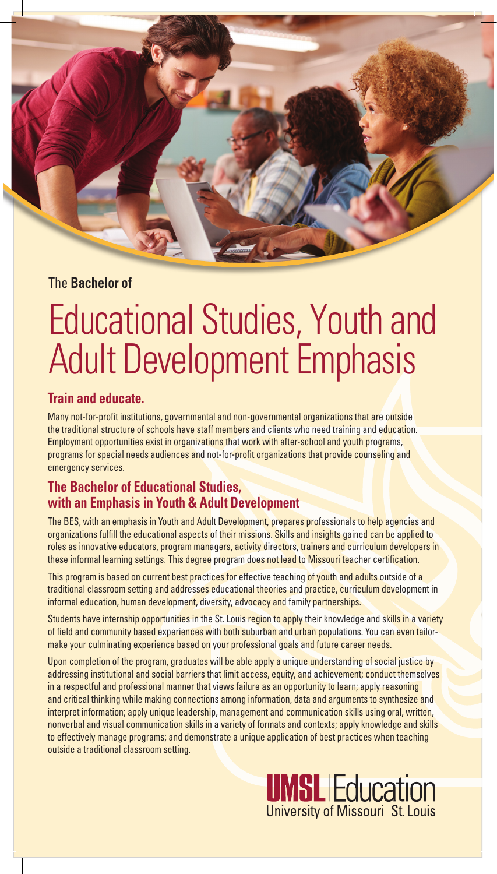## The **Bachelor of**

# Educational Studies, Youth and Adult Development Emphasis

## **Train and educate.**

Many not-for-profit institutions, governmental and non-governmental organizations that are outside the traditional structure of schools have staff members and clients who need training and education. Employment opportunities exist in organizations that work with after-school and youth programs, programs for special needs audiences and not-for-profit organizations that provide counseling and emergency services.

## **The Bachelor of Educational Studies, with an Emphasis in Youth & Adult Development**

The BES, with an emphasis in Youth and Adult Development, prepares professionals to help agencies and organizations fulfill the educational aspects of their missions. Skills and insights gained can be applied to roles as innovative educators, program managers, activity directors, trainers and curriculum developers in these informal learning settings. This degree program does not lead to Missouri teacher certification.

This program is based on current best practices for effective teaching of youth and adults outside of a traditional classroom setting and addresses educational theories and practice, curriculum development in informal education, human development, diversity, advocacy and family partnerships.

Students have internship opportunities in the St. Louis region to apply their knowledge and skills in a variety of field and community based experiences with both suburban and urban populations. You can even tailormake your culminating experience based on your professional goals and future career needs.

Upon completion of the program, graduates will be able apply a unique understanding of social justice by addressing institutional and social barriers that limit access, equity, and achievement; conduct themselves in a respectful and professional manner that views failure as an opportunity to learn; apply reasoning and critical thinking while making connections among information, data and arguments to synthesize and interpret information; apply unique leadership, management and communication skills using oral, written, nonverbal and visual communication skills in a variety of formats and contexts; apply knowledge and skills to effectively manage programs; and demonstrate a unique application of best practices when teaching outside a traditional classroom setting.